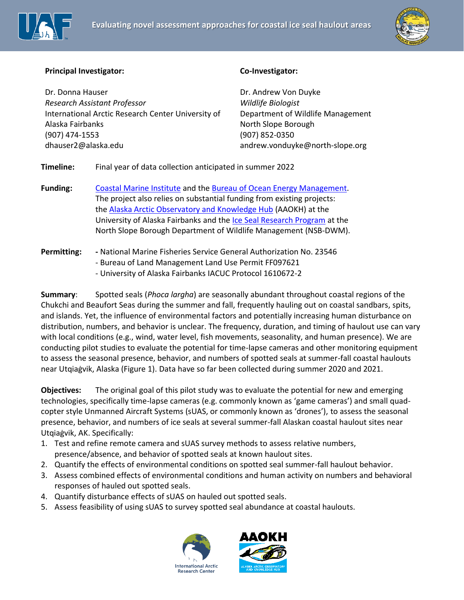



## **Principal Investigator:**

Dr. Donna Hauser *Research Assistant Professor*  International Arctic Research Center University of Alaska Fairbanks (907) 474-1553 dhauser2@alaska.edu

## **Co-Investigator:**

Dr. Andrew Von Duyke *Wildlife Biologist* Department of Wildlife Management North Slope Borough (907) 852-0350 andrew.vonduyke@north-slope.org

**Timeline:** Final year of data collection anticipated in summer 2022

**Funding:** [Coastal Marine Institute](https://www.uaf.edu/cfos/research/cmi/index.php) and the [Bureau of Ocean Energy Management.](https://www.boem.gov/environmental-studies) The project also relies on substantial funding from existing projects: the [Alaska Arctic Observatory and Knowledge Hub](https://arctic-aok.org/) (AAOKH) at the University of Alaska Fairbanks and the [Ice Seal Research Program](http://www.north-slope.org/departments/wildlife-management/studies-and-research-projects/ice-seals) at the North Slope Borough Department of Wildlife Management (NSB-DWM).

## **Permitting: -** National Marine Fisheries Service General Authorization No. 23546

- Bureau of Land Management Land Use Permit FF097621

- University of Alaska Fairbanks IACUC Protocol 1610672-2

**Summary**: Spotted seals (*Phoca largha*) are seasonally abundant throughout coastal regions of the Chukchi and Beaufort Seas during the summer and fall, frequently hauling out on coastal sandbars, spits, and islands. Yet, the influence of environmental factors and potentially increasing human disturbance on distribution, numbers, and behavior is unclear. The frequency, duration, and timing of haulout use can vary with local conditions (e.g., wind, water level, fish movements, seasonality, and human presence). We are conducting pilot studies to evaluate the potential for time-lapse cameras and other monitoring equipment to assess the seasonal presence, behavior, and numbers of spotted seals at summer-fall coastal haulouts near Utqiaġvik, Alaska (Figure 1). Data have so far been collected during summer 2020 and 2021.

**Objectives:** The original goal of this pilot study was to evaluate the potential for new and emerging technologies, specifically time-lapse cameras (e.g. commonly known as 'game cameras') and small quadcopter style Unmanned Aircraft Systems (sUAS, or commonly known as 'drones'), to assess the seasonal presence, behavior, and numbers of ice seals at several summer-fall Alaskan coastal haulout sites near Utqiaġvik, AK. Specifically:

- 1. Test and refine remote camera and sUAS survey methods to assess relative numbers, presence/absence, and behavior of spotted seals at known haulout sites.
- 2. Quantify the effects of environmental conditions on spotted seal summer-fall haulout behavior.
- 3. Assess combined effects of environmental conditions and human activity on numbers and behavioral responses of hauled out spotted seals.
- 4. Quantify disturbance effects of sUAS on hauled out spotted seals.
- 5. Assess feasibility of using sUAS to survey spotted seal abundance at coastal haulouts.



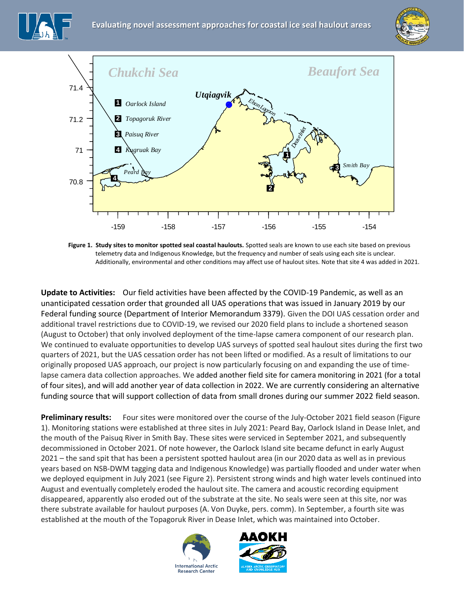





Figure 1. Study sites to monitor spotted seal coastal haulouts. Spotted seals are known to use each site based on previous telemetry data and Indigenous Knowledge, but the frequency and number of seals using each site is unclear. Additionally, environmental and other conditions may affect use of haulout sites. Note that site 4 was added in 2021.

**Update to Activities:** Our field activities have been affected by the COVID-19 Pandemic, as well as an unanticipated cessation order that grounded all UAS operations that was issued in January 2019 by our Federal funding source (Department of Interior Memorandum 3379). Given the DOI UAS cessation order and additional travel restrictions due to COVID-19, we revised our 2020 field plans to include a shortened season (August to October) that only involved deployment of the time-lapse camera component of our research plan. We continued to evaluate opportunities to develop UAS surveys of spotted seal haulout sites during the first two quarters of 2021, but the UAS cessation order has not been lifted or modified. As a result of limitations to our originally proposed UAS approach, our project is now particularly focusing on and expanding the use of timelapse camera data collection approaches. We added another field site for camera monitoring in 2021 (for a total of four sites), and will add another year of data collection in 2022. We are currently considering an alternative funding source that will support collection of data from small drones during our summer 2022 field season.

**Preliminary results:** Four sites were monitored over the course of the July-October 2021 field season (Figure 1). Monitoring stations were established at three sites in July 2021: Peard Bay, Oarlock Island in Dease Inlet, and the mouth of the Paisuq River in Smith Bay. These sites were serviced in September 2021, and subsequently decommissioned in October 2021. Of note however, the Oarlock Island site became defunct in early August 2021 – the sand spit that has been a persistent spotted haulout area (in our 2020 data as well as in previous years based on NSB-DWM tagging data and Indigenous Knowledge) was partially flooded and under water when we deployed equipment in July 2021 (see Figure 2). Persistent strong winds and high water levels continued into August and eventually completely eroded the haulout site. The camera and acoustic recording equipment disappeared, apparently also eroded out of the substrate at the site. No seals were seen at this site, nor was there substrate available for haulout purposes (A. Von Duyke, pers. comm). In September, a fourth site was established at the mouth of the Topagoruk River in Dease Inlet, which was maintained into October.



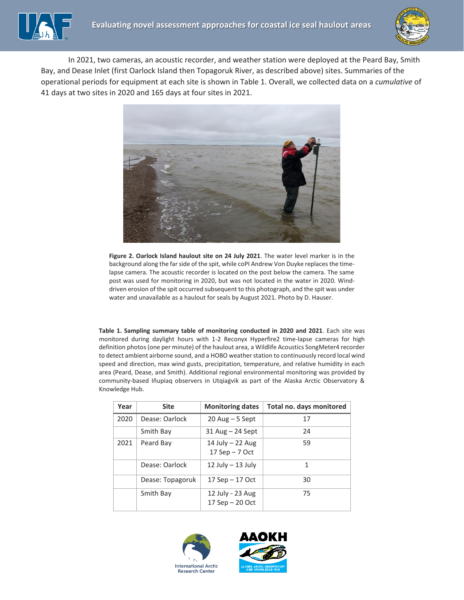

In 2021, two cameras, an acoustic recorder, and weather station were deployed at the Peard Bay, Smith Bay, and Dease Inlet (first Oarlock Island then Topagoruk River, as described above) sites. Summaries of the operational periods for equipment at each site is shown in Table 1. Overall, we collected data on a *cumulative* of 41 days at two sites in 2020 and 165 days at four sites in 2021.



**Figure 2. Oarlock Island haulout site on 24 July 2021**. The water level marker is in the background along the far side of the spit, while coPI Andrew Von Duyke replaces the timelapse camera. The acoustic recorder is located on the post below the camera. The same post was used for monitoring in 2020, but was not located in the water in 2020. Winddriven erosion of the spit occurred subsequent to this photograph, and the spit was under water and unavailable as a haulout for seals by August 2021. Photo by D. Hauser.

**Table 1. Sampling summary table of monitoring conducted in 2020 and 2021**. Each site was monitored during daylight hours with 1-2 Reconyx Hyperfire2 time-lapse cameras for high definition photos (one per minute) of the haulout area, a Wildlife Acoustics SongMeter4 recorder to detect ambient airborne sound, and a HOBO weather station to continuously record local wind speed and direction, max wind gusts, precipitation, temperature, and relative humidity in each area (Peard, Dease, and Smith). Additional regional environmental monitoring was provided by community-based Iñupiaq observers in Utqiaġvik as part of the Alaska Arctic Observatory & Knowledge Hub.

| Year | <b>Site</b>      | <b>Monitoring dates</b>               | Total no. days monitored |
|------|------------------|---------------------------------------|--------------------------|
| 2020 | Dease: Oarlock   | $20$ Aug $-5$ Sept                    | 17                       |
|      | Smith Bay        | $31$ Aug $-$ 24 Sept                  | 24                       |
| 2021 | Peard Bay        | 14 July $-$ 22 Aug<br>17 Sep $-7$ Oct | 59                       |
|      | Dease: Oarlock   | $12$ July $-13$ July                  | 1                        |
|      | Dease: Topagoruk | $17$ Sep $-17$ Oct                    | 30                       |
|      | Smith Bay        | 12 July - 23 Aug<br>17 Sep - 20 Oct   | 75                       |